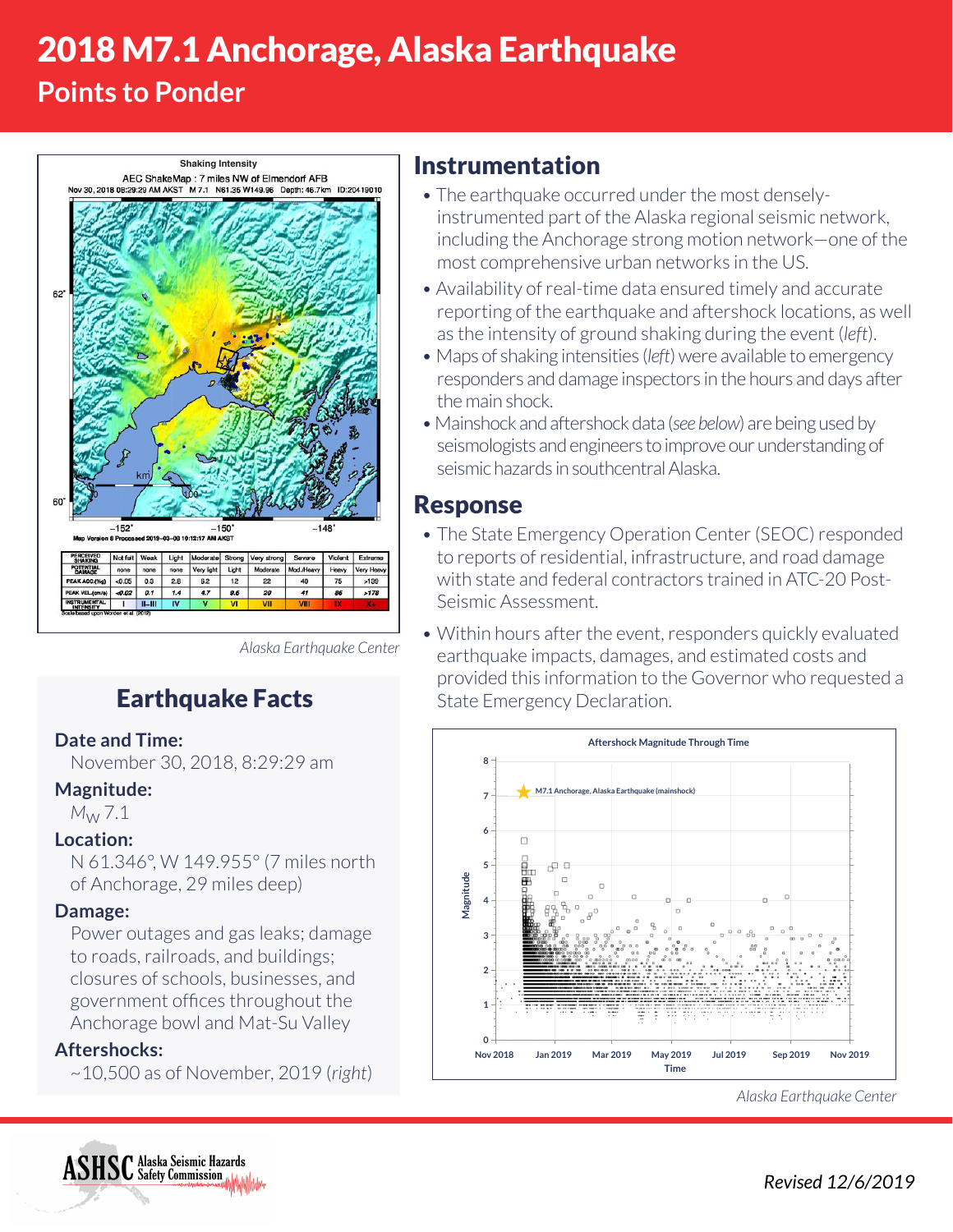# 2018 M7.1 Anchorage, Alaska Earthquake

## **Points to Ponder**



Instrumentation

- The earthquake occurred under the most denselyinstrumented part of the Alaska regional seismic network, including the Anchorage strong motion network—one of the most comprehensive urban networks in the US.
- Availability of real-time data ensured timely and accurate reporting of the earthquake and aftershock locations, as well as the intensity of ground shaking during the event (*left*).
- Maps of shaking intensities (*left*) were available to emergency responders and damage inspectors in the hours and days after the main shock.
- Mainshock and aftershock data (*see below*) are being used by seismologists and engineers to improve our understanding of seismic hazards in southcentral Alaska.

## Response

- The State Emergency Operation Center (SEOC) responded to reports of residential, infrastructure, and road damage with state and federal contractors trained in ATC-20 Post-Seismic Assessment.
- Within hours after the event, responders quickly evaluated earthquake impacts, damages, and estimated costs and provided this information to the Governor who requested a State Emergency Declaration.



*Alaska Earthquake Center*

*Alaska Earthquake Center*

## Earthquake Facts

#### **Date and Time:**

November 30, 2018, 8:29:29 am

#### **Magnitude:**

*M*w 7.1

#### **Location:**

N 61.346°, W 149.955° (7 miles north of Anchorage, 29 miles deep)

#### **Damage:**

Power outages and gas leaks; damage to roads, railroads, and buildings; closures of schools, businesses, and government offices throughout the Anchorage bowl and Mat-Su Valley

#### **Aftershocks:**

~10,500 as of November, 2019 (*right*)